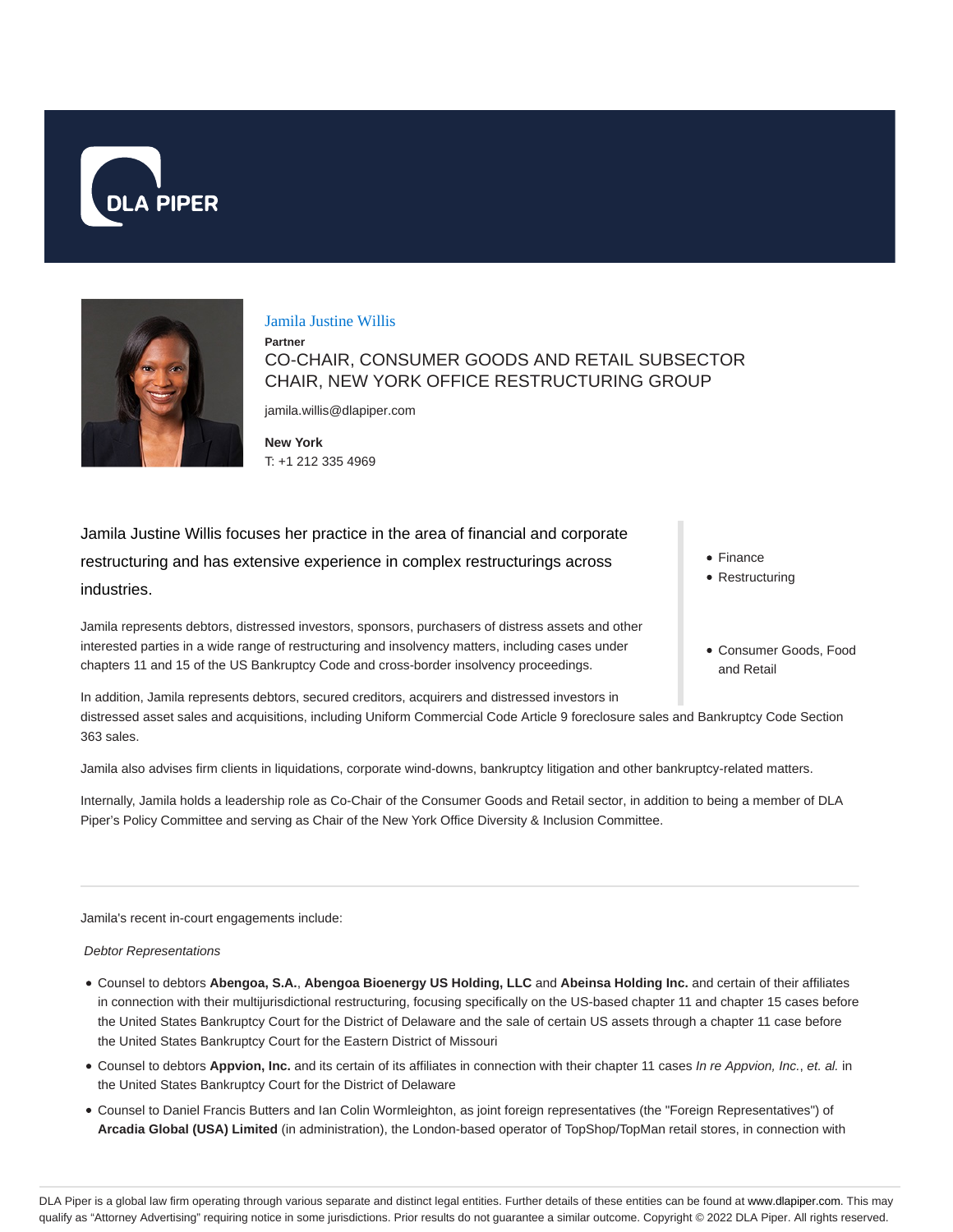



### Jamila Justine Willis

**Partner** CO-CHAIR, CONSUMER GOODS AND RETAIL SUBSECTOR CHAIR, NEW YORK OFFICE RESTRUCTURING GROUP

jamila.willis@dlapiper.com

**New York** T: +1 212 335 4969

Jamila Justine Willis focuses her practice in the area of financial and corporate restructuring and has extensive experience in complex restructurings across industries.

Jamila represents debtors, distressed investors, sponsors, purchasers of distress assets and other interested parties in a wide range of restructuring and insolvency matters, including cases under chapters 11 and 15 of the US Bankruptcy Code and cross-border insolvency proceedings.

In addition, Jamila represents debtors, secured creditors, acquirers and distressed investors in distressed asset sales and acquisitions, including Uniform Commercial Code Article 9 foreclosure sales and Bankruptcy Code Section 363 sales.

Jamila also advises firm clients in liquidations, corporate wind-downs, bankruptcy litigation and other bankruptcy-related matters.

Internally, Jamila holds a leadership role as Co-Chair of the Consumer Goods and Retail sector, in addition to being a member of DLA Piper's Policy Committee and serving as Chair of the New York Office Diversity & Inclusion Committee.

Jamila's recent in-court engagements include:

### Debtor Representations

- Counsel to debtors **Abengoa, S.A.**, **Abengoa Bioenergy US Holding, LLC** and **Abeinsa Holding Inc.** and certain of their affiliates in connection with their multijurisdictional restructuring, focusing specifically on the US-based chapter 11 and chapter 15 cases before the United States Bankruptcy Court for the District of Delaware and the sale of certain US assets through a chapter 11 case before the United States Bankruptcy Court for the Eastern District of Missouri
- Counsel to debtors **Appvion, Inc.** and its certain of its affiliates in connection with their chapter 11 cases In re Appvion, Inc., et. al. in the United States Bankruptcy Court for the District of Delaware
- Counsel to Daniel Francis Butters and Ian Colin Wormleighton, as joint foreign representatives (the "Foreign Representatives") of **Arcadia Global (USA) Limited** (in administration), the London-based operator of TopShop/TopMan retail stores, in connection with
- Finance
- Restructuring
- Consumer Goods, Food and Retail

DLA Piper is a global law firm operating through various separate and distinct legal entities. Further details of these entities can be found at www.dlapiper.com. This may qualify as "Attorney Advertising" requiring notice in some jurisdictions. Prior results do not guarantee a similar outcome. Copyright @ 2022 DLA Piper. All rights reserved.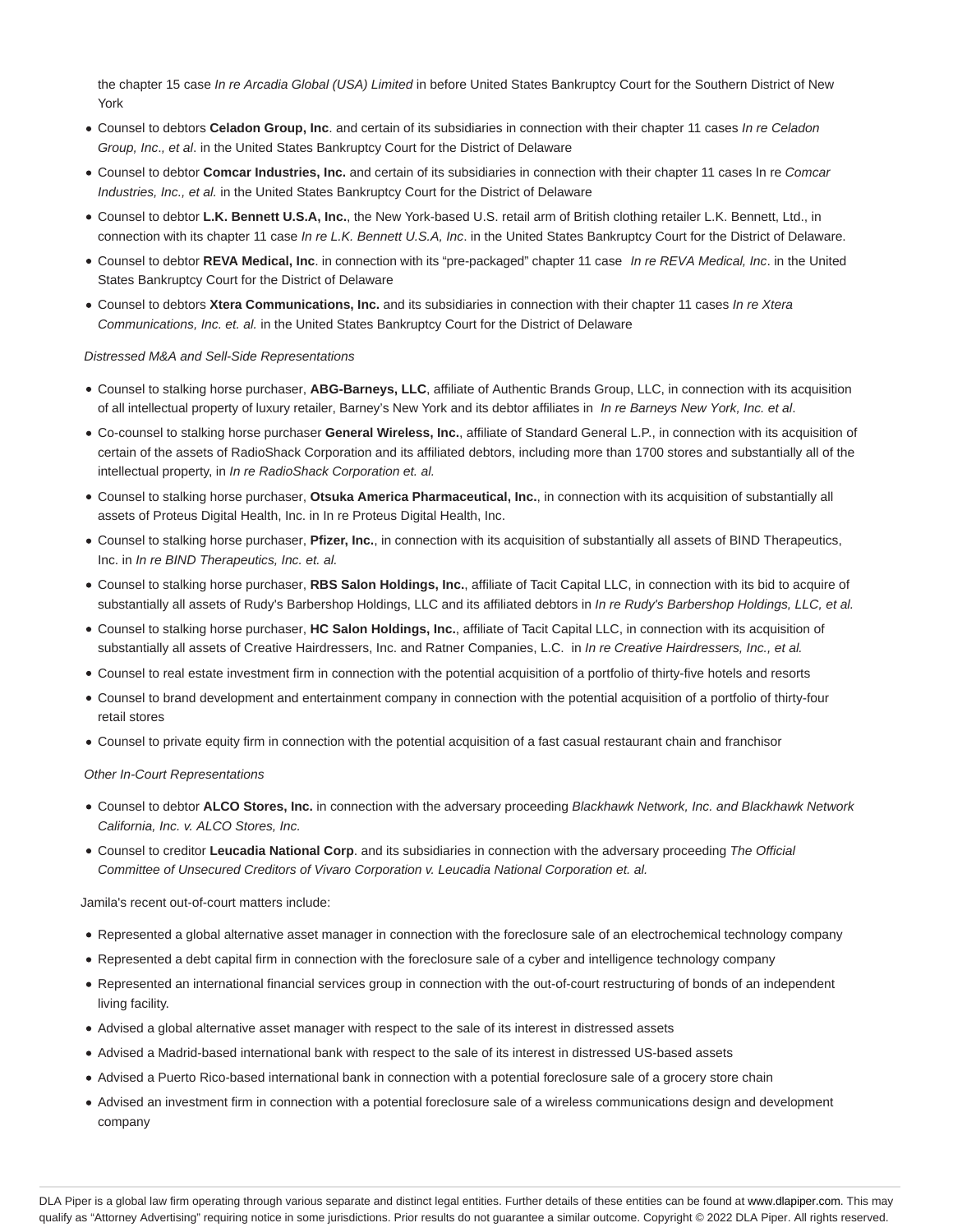the chapter 15 case In re Arcadia Global (USA) Limited in before United States Bankruptcy Court for the Southern District of New York

- Counsel to debtors **Celadon Group, Inc**. and certain of its subsidiaries in connection with their chapter 11 cases In re Celadon Group, Inc., et al. in the United States Bankruptcy Court for the District of Delaware
- Counsel to debtor **Comcar Industries, Inc.** and certain of its subsidiaries in connection with their chapter 11 cases In re Comcar Industries, Inc., et al. in the United States Bankruptcy Court for the District of Delaware
- Counsel to debtor **L.K. Bennett U.S.A, Inc.**, the New York-based U.S. retail arm of British clothing retailer L.K. Bennett, Ltd., in connection with its chapter 11 case In re L.K. Bennett U.S.A, Inc. in the United States Bankruptcy Court for the District of Delaware.
- Counsel to debtor **REVA Medical, Inc**. in connection with its "pre-packaged" chapter 11 case In re REVA Medical, Inc. in the United States Bankruptcy Court for the District of Delaware
- Counsel to debtors **Xtera Communications, Inc.** and its subsidiaries in connection with their chapter 11 cases In re Xtera Communications, Inc. et. al. in the United States Bankruptcy Court for the District of Delaware

### Distressed M&A and Sell-Side Representations

- Counsel to stalking horse purchaser, **ABG-Barneys, LLC**, affiliate of Authentic Brands Group, LLC, in connection with its acquisition of all intellectual property of luxury retailer, Barney's New York and its debtor affiliates in In re Barneys New York, Inc. et al.
- Co-counsel to stalking horse purchaser **General Wireless, Inc.**, affiliate of Standard General L.P., in connection with its acquisition of certain of the assets of RadioShack Corporation and its affiliated debtors, including more than 1700 stores and substantially all of the intellectual property, in In re RadioShack Corporation et. al.
- Counsel to stalking horse purchaser, **Otsuka America Pharmaceutical, Inc.**, in connection with its acquisition of substantially all assets of Proteus Digital Health, Inc. in In re Proteus Digital Health, Inc.
- Counsel to stalking horse purchaser, **Pfizer, Inc.**, in connection with its acquisition of substantially all assets of BIND Therapeutics, Inc. in In re BIND Therapeutics, Inc. et. al.
- Counsel to stalking horse purchaser, **RBS Salon Holdings, Inc.**, affiliate of Tacit Capital LLC, in connection with its bid to acquire of substantially all assets of Rudy's Barbershop Holdings, LLC and its affiliated debtors in In re Rudy's Barbershop Holdings, LLC, et al.
- Counsel to stalking horse purchaser, **HC Salon Holdings, Inc.**, affiliate of Tacit Capital LLC, in connection with its acquisition of substantially all assets of Creative Hairdressers, Inc. and Ratner Companies, L.C. in In re Creative Hairdressers, Inc., et al.
- Counsel to real estate investment firm in connection with the potential acquisition of a portfolio of thirty-five hotels and resorts
- Counsel to brand development and entertainment company in connection with the potential acquisition of a portfolio of thirty-four retail stores
- Counsel to private equity firm in connection with the potential acquisition of a fast casual restaurant chain and franchisor

#### Other In-Court Representations

- Counsel to debtor **ALCO Stores, Inc.** in connection with the adversary proceeding Blackhawk Network, Inc. and Blackhawk Network California, Inc. v. ALCO Stores, Inc.
- Counsel to creditor **Leucadia National Corp**. and its subsidiaries in connection with the adversary proceeding The Official Committee of Unsecured Creditors of Vivaro Corporation v. Leucadia National Corporation et. al.

#### Jamila's recent out-of-court matters include:

- Represented a global alternative asset manager in connection with the foreclosure sale of an electrochemical technology company
- Represented a debt capital firm in connection with the foreclosure sale of a cyber and intelligence technology company
- Represented an international financial services group in connection with the out-of-court restructuring of bonds of an independent living facility.
- Advised a global alternative asset manager with respect to the sale of its interest in distressed assets
- Advised a Madrid-based international bank with respect to the sale of its interest in distressed US-based assets
- Advised a Puerto Rico-based international bank in connection with a potential foreclosure sale of a grocery store chain
- Advised an investment firm in connection with a potential foreclosure sale of a wireless communications design and development company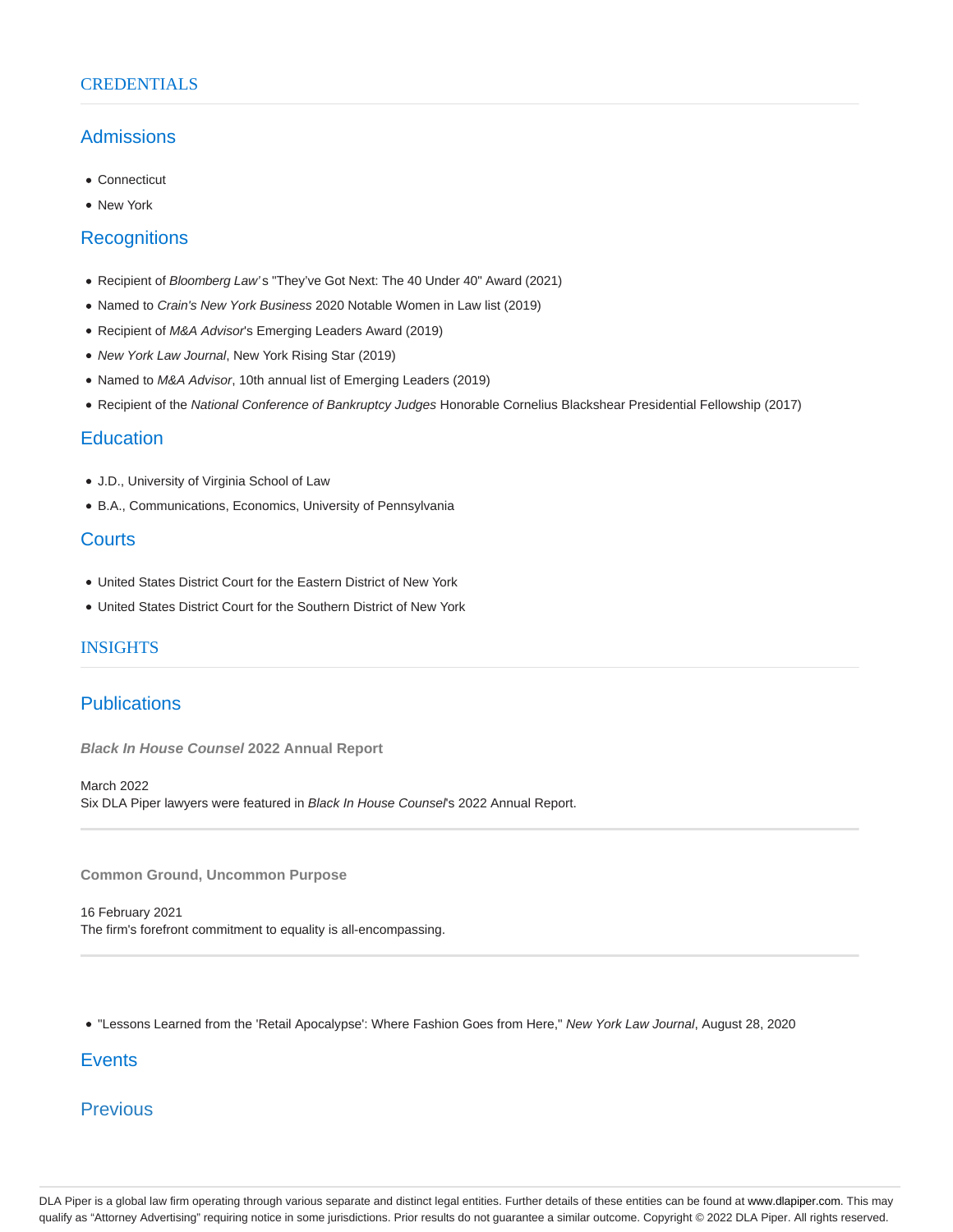## **CREDENTIALS**

# Admissions

- Connecticut
- New York

## **Recognitions**

- Recipient of Bloomberg Law's "They've Got Next: The 40 Under 40" Award (2021)
- Named to Crain's New York Business 2020 Notable Women in Law list (2019)
- Recipient of M&A Advisor's Emerging Leaders Award (2019)
- New York Law Journal, New York Rising Star (2019)
- Named to M&A Advisor, 10th annual list of Emerging Leaders (2019)
- Recipient of the National Conference of Bankruptcy Judges Honorable Cornelius Blackshear Presidential Fellowship (2017)

# **Education**

- J.D., University of Virginia School of Law
- B.A., Communications, Economics, University of Pennsylvania

# **Courts**

- United States District Court for the Eastern District of New York
- United States District Court for the Southern District of New York

## INSIGHTS

## **Publications**

**Black In House Counsel 2022 Annual Report**

March 2022 Six DLA Piper lawyers were featured in Black In House Counsel's 2022 Annual Report.

**Common Ground, Uncommon Purpose**

16 February 2021 The firm's forefront commitment to equality is all-encompassing.

. "Lessons Learned from the 'Retail Apocalypse': Where Fashion Goes from Here," New York Law Journal, August 28, 2020

# **Events**

**Previous** 

DLA Piper is a global law firm operating through various separate and distinct legal entities. Further details of these entities can be found at www.dlapiper.com. This may qualify as "Attorney Advertising" requiring notice in some jurisdictions. Prior results do not guarantee a similar outcome. Copyright © 2022 DLA Piper. All rights reserved.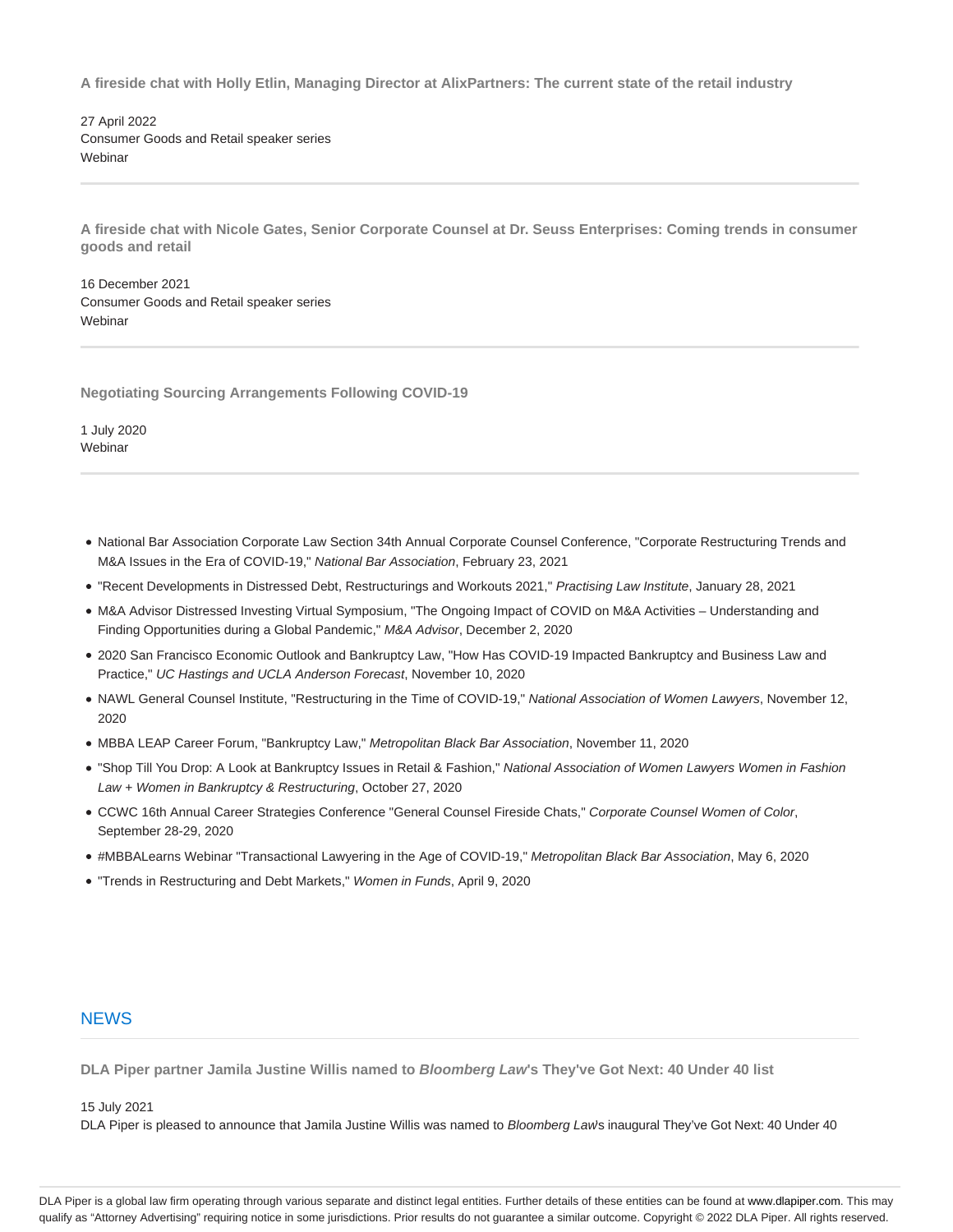**A fireside chat with Holly Etlin, Managing Director at AlixPartners: The current state of the retail industry**

27 April 2022 Consumer Goods and Retail speaker series **Webinar** 

**A fireside chat with Nicole Gates, Senior Corporate Counsel at Dr. Seuss Enterprises: Coming trends in consumer goods and retail**

16 December 2021 Consumer Goods and Retail speaker series Webinar

**Negotiating Sourcing Arrangements Following COVID-19**

1 July 2020 **Webinar** 

- National Bar Association Corporate Law Section 34th Annual Corporate Counsel Conference, "Corporate Restructuring Trends and M&A Issues in the Era of COVID-19," National Bar Association, February 23, 2021
- . "Recent Developments in Distressed Debt, Restructurings and Workouts 2021," Practising Law Institute, January 28, 2021
- M&A Advisor Distressed Investing Virtual Symposium, "The Ongoing Impact of COVID on M&A Activities Understanding and Finding Opportunities during a Global Pandemic," M&A Advisor, December 2, 2020
- 2020 San Francisco Economic Outlook and Bankruptcy Law, "How Has COVID-19 Impacted Bankruptcy and Business Law and Practice," UC Hastings and UCLA Anderson Forecast, November 10, 2020
- NAWL General Counsel Institute, "Restructuring in the Time of COVID-19," National Association of Women Lawyers, November 12, 2020
- MBBA LEAP Career Forum, "Bankruptcy Law," Metropolitan Black Bar Association, November 11, 2020
- . "Shop Till You Drop: A Look at Bankruptcy Issues in Retail & Fashion," National Association of Women Lawyers Women in Fashion Law + Women in Bankruptcy & Restructuring, October 27, 2020
- CCWC 16th Annual Career Strategies Conference "General Counsel Fireside Chats," Corporate Counsel Women of Color, September 28-29, 2020
- #MBBALearns Webinar "Transactional Lawyering in the Age of COVID-19," Metropolitan Black Bar Association, May 6, 2020
- "Trends in Restructuring and Debt Markets," Women in Funds, April 9, 2020

## **NEWS**

**DLA Piper partner Jamila Justine Willis named to Bloomberg Law's They've Got Next: 40 Under 40 list**

15 July 2021

DLA Piper is pleased to announce that Jamila Justine Willis was named to Bloomberg Law's inaugural They've Got Next: 40 Under 40

DLA Piper is a global law firm operating through various separate and distinct legal entities. Further details of these entities can be found at www.dlapiper.com. This may qualify as "Attorney Advertising" requiring notice in some jurisdictions. Prior results do not guarantee a similar outcome. Copyright @ 2022 DLA Piper. All rights reserved.